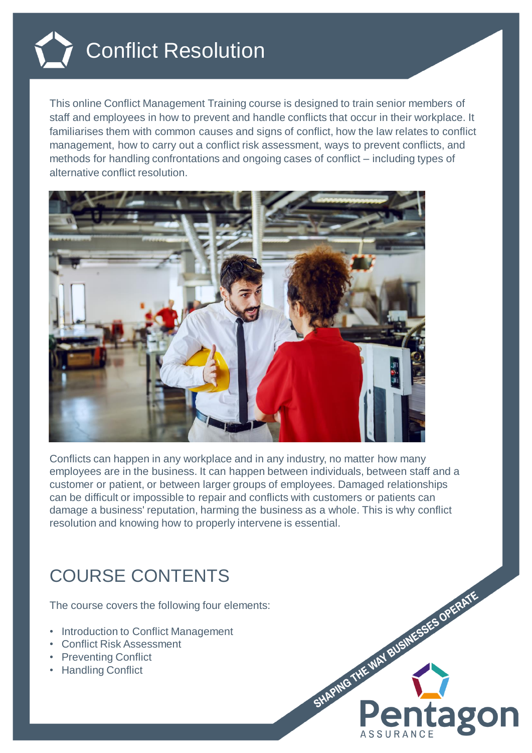

This online Conflict Management Training course is designed to train senior members of staff and employees in how to prevent and handle conflicts that occur in their workplace. It familiarises them with common causes and signs of conflict, how the law relates to conflict management, how to carry out a conflict risk assessment, ways to prevent conflicts, and methods for handling confrontations and ongoing cases of conflict – including types of alternative conflict resolution.



Conflicts can happen in any workplace and in any industry, no matter how many employees are in the business. It can happen between individuals, between staff and a customer or patient, or between larger groups of employees. Damaged relationships can be difficult or impossible to repair and conflicts with customers or patients can damage a business' reputation, harming the business as a whole. This is why conflict resolution and knowing how to properly intervene is essential.

## COURSE CONTENTS

The course covers the following four elements:

- Introduction to Conflict Management
- Conflict Risk Assessment
- Preventing Conflict
- Handling Conflict